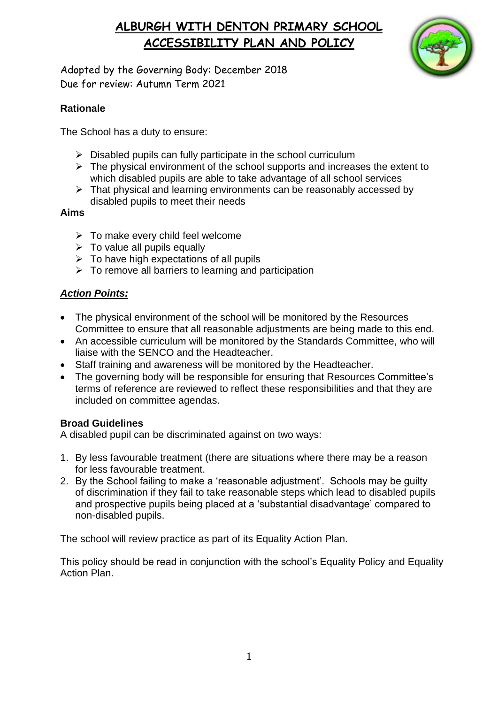

Adopted by the Governing Body: December 2018 Due for review: Autumn Term 2021

### **Rationale**

The School has a duty to ensure:

- $\triangleright$  Disabled pupils can fully participate in the school curriculum
- $\triangleright$  The physical environment of the school supports and increases the extent to which disabled pupils are able to take advantage of all school services
- $\triangleright$  That physical and learning environments can be reasonably accessed by disabled pupils to meet their needs

#### **Aims**

- $\triangleright$  To make every child feel welcome
- $\triangleright$  To value all pupils equally
- $\triangleright$  To have high expectations of all pupils
- $\triangleright$  To remove all barriers to learning and participation

### *Action Points:*

- The physical environment of the school will be monitored by the Resources Committee to ensure that all reasonable adjustments are being made to this end.
- An accessible curriculum will be monitored by the Standards Committee, who will liaise with the SENCO and the Headteacher.
- Staff training and awareness will be monitored by the Headteacher.
- The governing body will be responsible for ensuring that Resources Committee's terms of reference are reviewed to reflect these responsibilities and that they are included on committee agendas.

#### **Broad Guidelines**

A disabled pupil can be discriminated against on two ways:

- 1. By less favourable treatment (there are situations where there may be a reason for less favourable treatment.
- 2. By the School failing to make a 'reasonable adjustment'. Schools may be guilty of discrimination if they fail to take reasonable steps which lead to disabled pupils and prospective pupils being placed at a 'substantial disadvantage' compared to non-disabled pupils.

The school will review practice as part of its Equality Action Plan.

This policy should be read in conjunction with the school's Equality Policy and Equality Action Plan.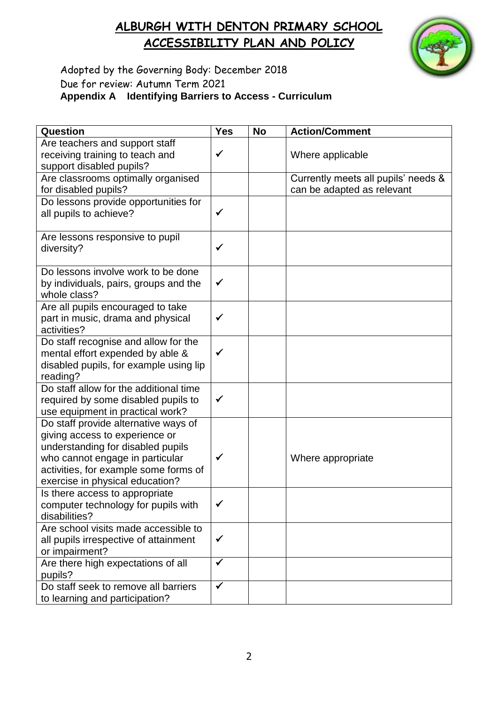

### Adopted by the Governing Body: December 2018 Due for review: Autumn Term 2021 **Appendix A Identifying Barriers to Access - Curriculum**

| Question                                                                 | <b>Yes</b>   | <b>No</b> | <b>Action/Comment</b>               |
|--------------------------------------------------------------------------|--------------|-----------|-------------------------------------|
| Are teachers and support staff                                           |              |           |                                     |
| receiving training to teach and                                          | $\checkmark$ |           | Where applicable                    |
| support disabled pupils?                                                 |              |           |                                     |
| Are classrooms optimally organised                                       |              |           | Currently meets all pupils' needs & |
| for disabled pupils?                                                     |              |           | can be adapted as relevant          |
| Do lessons provide opportunities for                                     |              |           |                                     |
| all pupils to achieve?                                                   | $\checkmark$ |           |                                     |
| Are lessons responsive to pupil                                          |              |           |                                     |
| diversity?                                                               | ✓            |           |                                     |
|                                                                          |              |           |                                     |
| Do lessons involve work to be done                                       |              |           |                                     |
| by individuals, pairs, groups and the                                    | $\checkmark$ |           |                                     |
| whole class?                                                             |              |           |                                     |
| Are all pupils encouraged to take<br>part in music, drama and physical   | $\checkmark$ |           |                                     |
| activities?                                                              |              |           |                                     |
| Do staff recognise and allow for the                                     |              |           |                                     |
| mental effort expended by able &                                         | $\checkmark$ |           |                                     |
| disabled pupils, for example using lip                                   |              |           |                                     |
| reading?                                                                 |              |           |                                     |
| Do staff allow for the additional time                                   |              |           |                                     |
| required by some disabled pupils to                                      | ✓            |           |                                     |
| use equipment in practical work?                                         |              |           |                                     |
| Do staff provide alternative ways of                                     |              |           |                                     |
| giving access to experience or                                           |              |           |                                     |
| understanding for disabled pupils                                        |              |           |                                     |
| who cannot engage in particular                                          | ✔            |           | Where appropriate                   |
| activities, for example some forms of<br>exercise in physical education? |              |           |                                     |
| Is there access to appropriate                                           |              |           |                                     |
| computer technology for pupils with                                      | $\checkmark$ |           |                                     |
| disabilities?                                                            |              |           |                                     |
| Are school visits made accessible to                                     |              |           |                                     |
| all pupils irrespective of attainment                                    | $\checkmark$ |           |                                     |
| or impairment?                                                           |              |           |                                     |
| Are there high expectations of all                                       | $\checkmark$ |           |                                     |
| pupils?                                                                  |              |           |                                     |
| Do staff seek to remove all barriers                                     | $\checkmark$ |           |                                     |
| to learning and participation?                                           |              |           |                                     |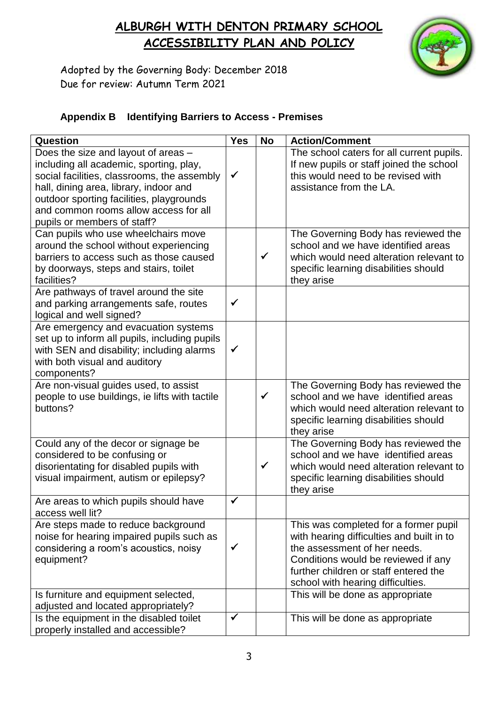

Adopted by the Governing Body: December 2018 Due for review: Autumn Term 2021

### **Appendix B Identifying Barriers to Access - Premises**

| Question                                       | <b>Yes</b>   | <b>No</b>    | <b>Action/Comment</b>                     |
|------------------------------------------------|--------------|--------------|-------------------------------------------|
| Does the size and layout of areas -            |              |              | The school caters for all current pupils. |
| including all academic, sporting, play,        |              |              | If new pupils or staff joined the school  |
| social facilities, classrooms, the assembly    | $\checkmark$ |              | this would need to be revised with        |
| hall, dining area, library, indoor and         |              |              | assistance from the LA.                   |
| outdoor sporting facilities, playgrounds       |              |              |                                           |
| and common rooms allow access for all          |              |              |                                           |
| pupils or members of staff?                    |              |              |                                           |
| Can pupils who use wheelchairs move            |              |              | The Governing Body has reviewed the       |
| around the school without experiencing         |              |              | school and we have identified areas       |
| barriers to access such as those caused        |              | $\checkmark$ | which would need alteration relevant to   |
| by doorways, steps and stairs, toilet          |              |              | specific learning disabilities should     |
| facilities?                                    |              |              | they arise                                |
| Are pathways of travel around the site         |              |              |                                           |
| and parking arrangements safe, routes          | ✓            |              |                                           |
| logical and well signed?                       |              |              |                                           |
| Are emergency and evacuation systems           |              |              |                                           |
| set up to inform all pupils, including pupils  |              |              |                                           |
| with SEN and disability; including alarms      | $\checkmark$ |              |                                           |
| with both visual and auditory                  |              |              |                                           |
| components?                                    |              |              |                                           |
| Are non-visual guides used, to assist          |              |              | The Governing Body has reviewed the       |
| people to use buildings, ie lifts with tactile |              | $\checkmark$ | school and we have identified areas       |
| buttons?                                       |              |              | which would need alteration relevant to   |
|                                                |              |              | specific learning disabilities should     |
|                                                |              |              | they arise                                |
| Could any of the decor or signage be           |              |              | The Governing Body has reviewed the       |
| considered to be confusing or                  |              |              | school and we have identified areas       |
| disorientating for disabled pupils with        |              | $\checkmark$ | which would need alteration relevant to   |
| visual impairment, autism or epilepsy?         |              |              | specific learning disabilities should     |
|                                                |              |              | they arise                                |
| Are areas to which pupils should have          | √            |              |                                           |
| access well lit?                               |              |              |                                           |
| Are steps made to reduce background            |              |              | This was completed for a former pupil     |
| noise for hearing impaired pupils such as      |              |              | with hearing difficulties and built in to |
| considering a room's acoustics, noisy          | $\checkmark$ |              | the assessment of her needs.              |
| equipment?                                     |              |              | Conditions would be reviewed if any       |
|                                                |              |              | further children or staff entered the     |
|                                                |              |              | school with hearing difficulties.         |
| Is furniture and equipment selected,           |              |              | This will be done as appropriate          |
| adjusted and located appropriately?            |              |              |                                           |
| Is the equipment in the disabled toilet        | $\checkmark$ |              | This will be done as appropriate          |
| properly installed and accessible?             |              |              |                                           |